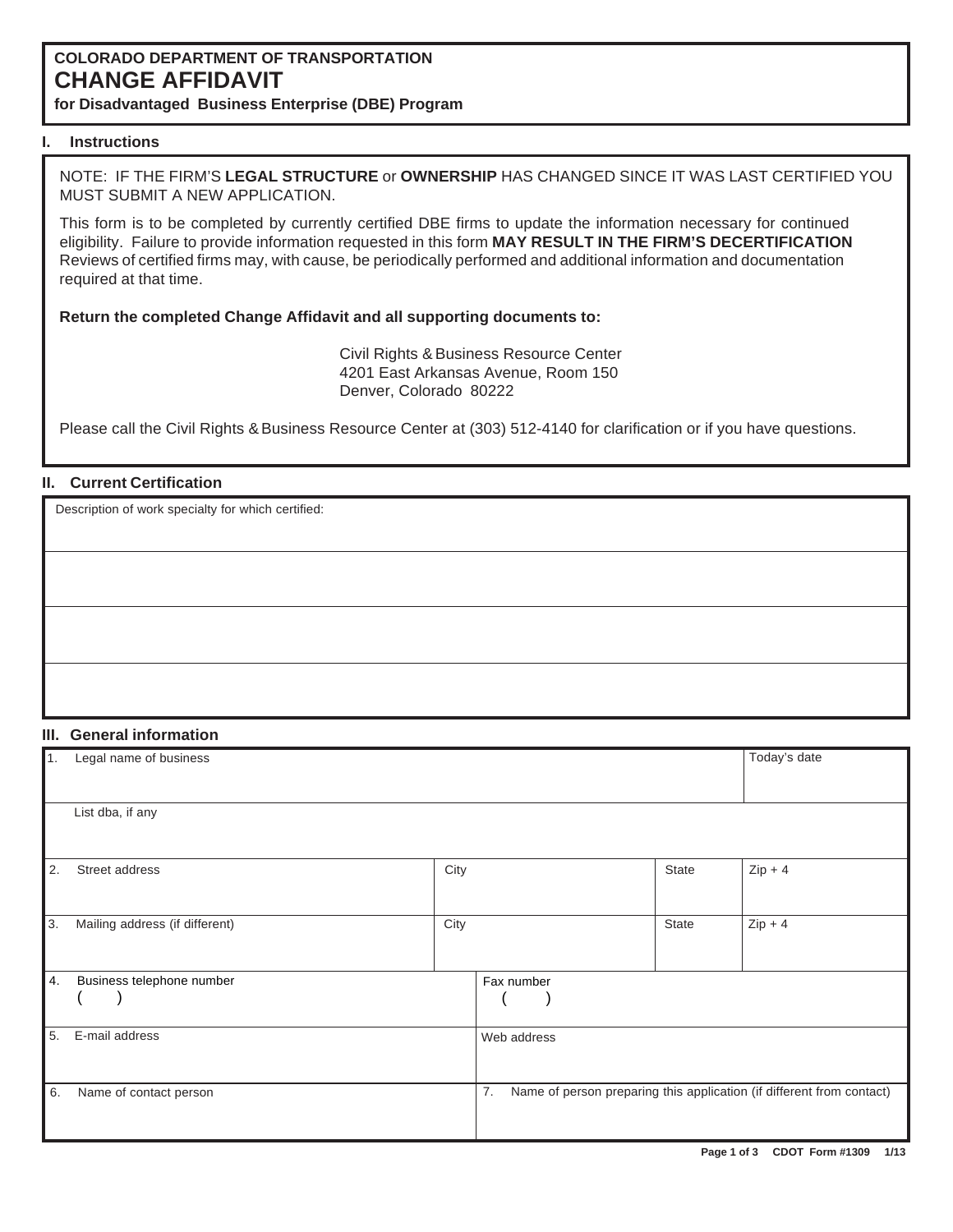# **COLORADO DEPARTMENT OF TRANSPORTATION CHANGE AFFIDAVIT**

**for Disadvantaged Business Enterprise (DBE) Program**

## **I. Instructions**

NOTE: IF THE FIRM'S **LEGAL STRUCTURE** or **OWNERSHIP** HAS CHANGED SINCE IT WAS LAST CERTIFIED YOU MUST SUBMIT A NEW APPLICATION.

This form is to be completed by currently certified DBE firms to update the information necessary for continued eligibility. Failure to provide information requested in this form **MAY RESULT IN THE FIRM'S DECERTIFICATION** Reviews of certified firms may, with cause, be periodically performed and additional information and documentation required at that time.

#### **Return the completed Change Affidavit and all supporting documents to:**

4201 East Arkansas Avenue, Room 150 Denver, Colorado 80222 Civil Rights & Business Resource Center

Please call the Civil Rights & Business Resource Center at (303) 512-4140 for clarification or if you have questions.

## **II. Current Certification**

Description of work specialty for which certified:

## **III. General information**

| $\overline{1}$ . | Legal name of business         |      |             |              | Today's date                                                          |
|------------------|--------------------------------|------|-------------|--------------|-----------------------------------------------------------------------|
|                  | List dba, if any               |      |             |              |                                                                       |
| $\vert$ 2.       | Street address                 | City |             | <b>State</b> | $Zip + 4$                                                             |
| $\overline{3}$ . | Mailing address (if different) | City |             | State        | $Zip + 4$                                                             |
| <b>4.</b>        | Business telephone number      |      | Fax number  |              |                                                                       |
| 5.               | E-mail address                 |      | Web address |              |                                                                       |
| 6.               | Name of contact person         |      | 7.          |              | Name of person preparing this application (if different from contact) |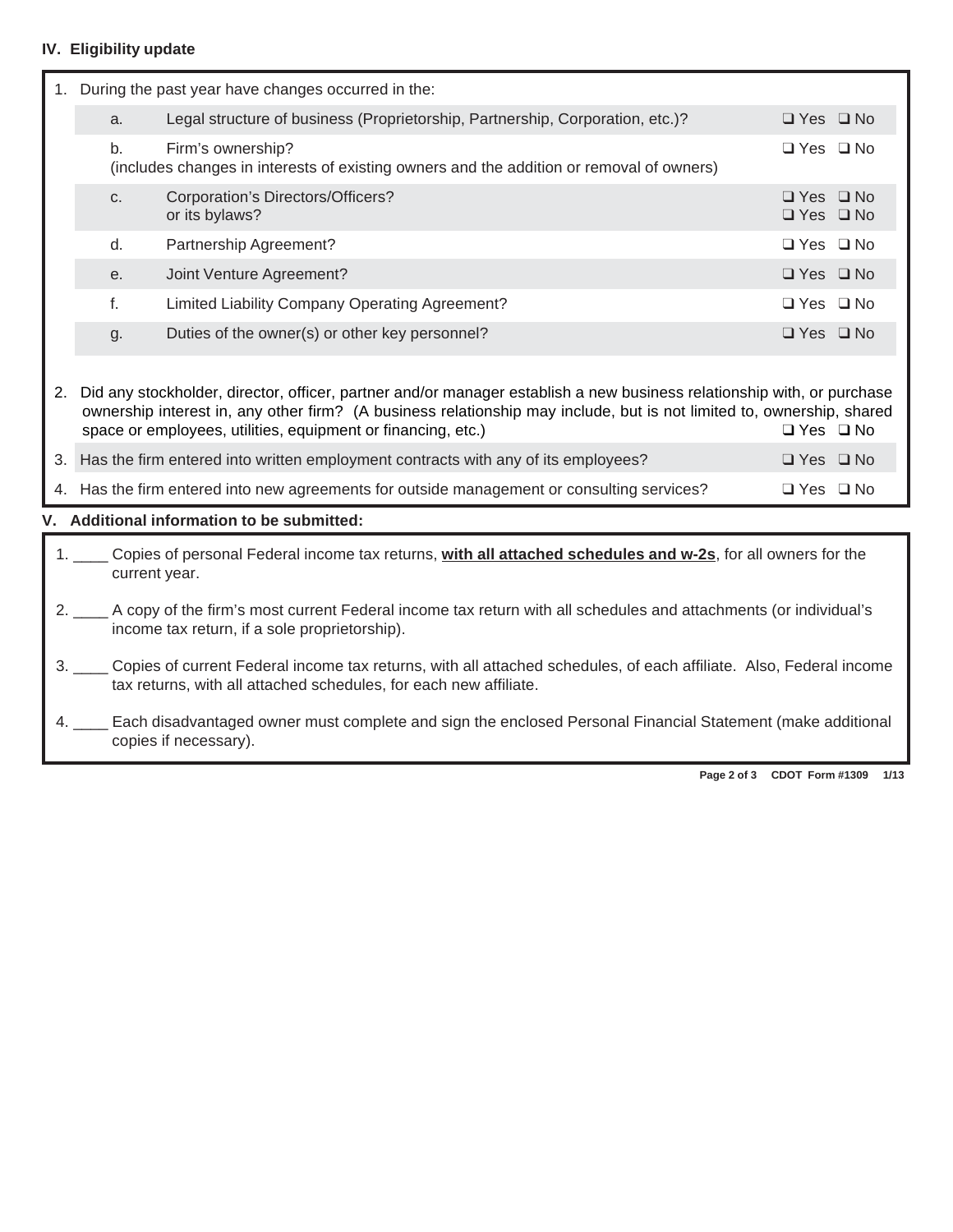# **IV. Eligibility update**

|    | During the past year have changes occurred in the:                                                                 |                                                                                                                                                                                                                                                                                                                 |                      |  |  |  |  |  |
|----|--------------------------------------------------------------------------------------------------------------------|-----------------------------------------------------------------------------------------------------------------------------------------------------------------------------------------------------------------------------------------------------------------------------------------------------------------|----------------------|--|--|--|--|--|
|    | a.                                                                                                                 | $\Box$ Yes $\Box$ No                                                                                                                                                                                                                                                                                            |                      |  |  |  |  |  |
|    | b.<br>(includes changes in interests of existing owners and the addition or removal of owners)                     | $\Box$ Yes $\Box$ No                                                                                                                                                                                                                                                                                            |                      |  |  |  |  |  |
|    | C.                                                                                                                 | Corporation's Directors/Officers?<br>or its bylaws?                                                                                                                                                                                                                                                             |                      |  |  |  |  |  |
|    | d.                                                                                                                 | Partnership Agreement?                                                                                                                                                                                                                                                                                          | $\Box$ Yes $\Box$ No |  |  |  |  |  |
|    | е.                                                                                                                 | Joint Venture Agreement?                                                                                                                                                                                                                                                                                        | $\Box$ Yes $\Box$ No |  |  |  |  |  |
|    | f.                                                                                                                 | <b>Limited Liability Company Operating Agreement?</b>                                                                                                                                                                                                                                                           | $\Box$ Yes $\Box$ No |  |  |  |  |  |
|    | g.                                                                                                                 | Duties of the owner(s) or other key personnel?                                                                                                                                                                                                                                                                  | $\Box$ Yes $\Box$ No |  |  |  |  |  |
| 2. |                                                                                                                    | Did any stockholder, director, officer, partner and/or manager establish a new business relationship with, or purchase<br>ownership interest in, any other firm? (A business relationship may include, but is not limited to, ownership, shared<br>space or employees, utilities, equipment or financing, etc.) | $\Box$ Yes $\Box$ No |  |  |  |  |  |
| 3. |                                                                                                                    | Has the firm entered into written employment contracts with any of its employees?                                                                                                                                                                                                                               | $\Box$ Yes $\Box$ No |  |  |  |  |  |
|    | 4. Has the firm entered into new agreements for outside management or consulting services?<br>$\Box$ Yes $\Box$ No |                                                                                                                                                                                                                                                                                                                 |                      |  |  |  |  |  |

# **V. Additional information to be submitted:**

| 1. Copies of personal Federal income tax returns, with all attached schedules and w-2s, for all owners for the<br>current year.                                                                 |
|-------------------------------------------------------------------------------------------------------------------------------------------------------------------------------------------------|
| 2. A copy of the firm's most current Federal income tax return with all schedules and attachments (or individual's<br>income tax return, if a sole proprietorship).                             |
| 3. ____ Copies of current Federal income tax returns, with all attached schedules, of each affiliate. Also, Federal income<br>tax returns, with all attached schedules, for each new affiliate. |
| 4. Each disadvantaged owner must complete and sign the enclosed Personal Financial Statement (make additional<br>copies if necessary).                                                          |

**Page 2 of 3 CDOT Form #1309 1/13**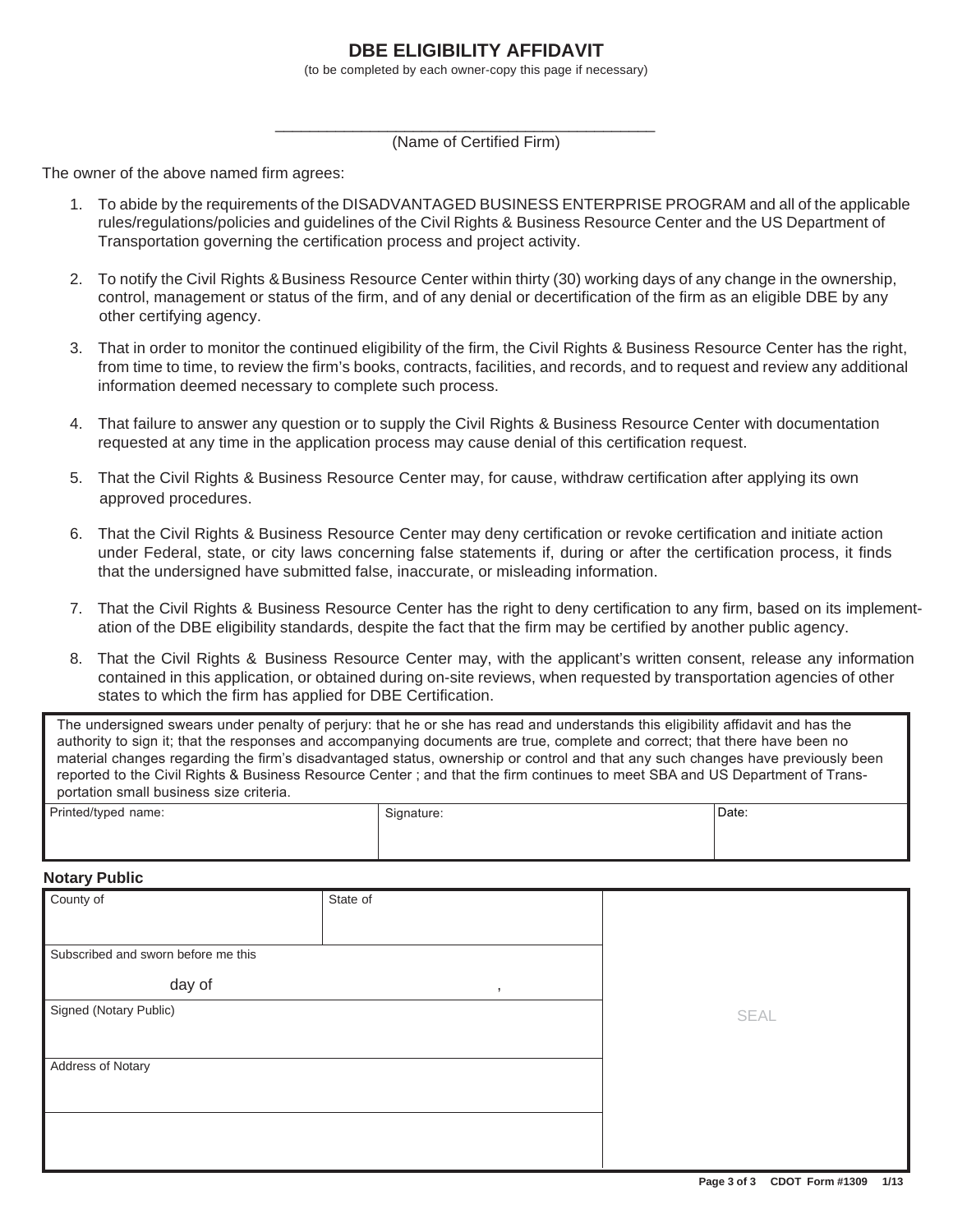# **DBE ELIGIBILITY AFFIDAVIT**

(to be completed by each owner-copy this page if necessary)

\_\_\_\_\_\_\_\_\_\_\_\_\_\_\_\_\_\_\_\_\_\_\_\_\_\_\_\_\_\_\_\_\_\_\_\_\_\_\_\_\_\_\_\_ (Name of Certified Firm)

The owner of the above named firm agrees:

- 1. To abide by the requirements of the DISADVANTAGED BUSINESS ENTERPRISE PROGRAM and all of the applicable rules/regulations/policies and guidelines of the Civil Rights & Business Resource Center and the US Department of Transportation governing the certification process and project activity.
- 2. To notify the Civil Rights & Business Resource Center within thirty (30) working days of any change in the ownership, other certifying agency. control, management or status of the firm, and of any denial or decertification of the firm as an eligible DBE by any
- 3. That in order to monitor the continued eligibility of the firm, the Civil Rights & Business Resource Center has the right, from time to time, to review the firm's books, contracts, facilities, and records, and to request and review any additional information deemed necessary to complete such process.
- 4. That failure to answer any question or to supply the Civil Rights & Business Resource Center with documentation requested at any time in the application process may cause denial of this certification request.
- 5. That the Civil Rights & Business Resource Center may, for cause, withdraw certification after applying its own approved procedures.
- 6. That the Civil Rights & Business Resource Center may deny certification or revoke certification and initiate action under Federal, state, or city laws concerning false statements if, during or after the certification process, it finds that the undersigned have submitted false, inaccurate, or misleading information.
- 7. That the Civil Rights & Business Resource Center has the right to deny certification to any firm, based on its implementation of the DBE eligibility standards, despite the fact that the firm may be certified by another public agency.
- 8. That the Civil Rights & Business Resource Center may, with the applicant's written consent, release any information contained in this application, or obtained during on-site reviews, when requested by transportation agencies of other states to which the firm has applied for DBE Certification.

The undersigned swears under penalty of perjury: that he or she has read and understands this eligibility affidavit and has the authority to sign it; that the responses and accompanying documents are true, complete and correct; that there have been no material changes regarding the firm's disadvantaged status, ownership or control and that any such changes have previously been reported to the Civil Rights & Business Resource Center ; and that the firm continues to meet SBA and US Department of Transportation small business size criteria.

| Printed/typed name: | Signature: | Date: |
|---------------------|------------|-------|
|                     |            |       |
|                     |            |       |

#### **Notary Public**

| County of                           | State of                 |  |
|-------------------------------------|--------------------------|--|
|                                     |                          |  |
| Subscribed and sworn before me this |                          |  |
| day of                              | $\overline{\phantom{a}}$ |  |
| Signed (Notary Public)              | SEAL                     |  |
|                                     |                          |  |
| Address of Notary                   |                          |  |
|                                     |                          |  |
|                                     |                          |  |
|                                     |                          |  |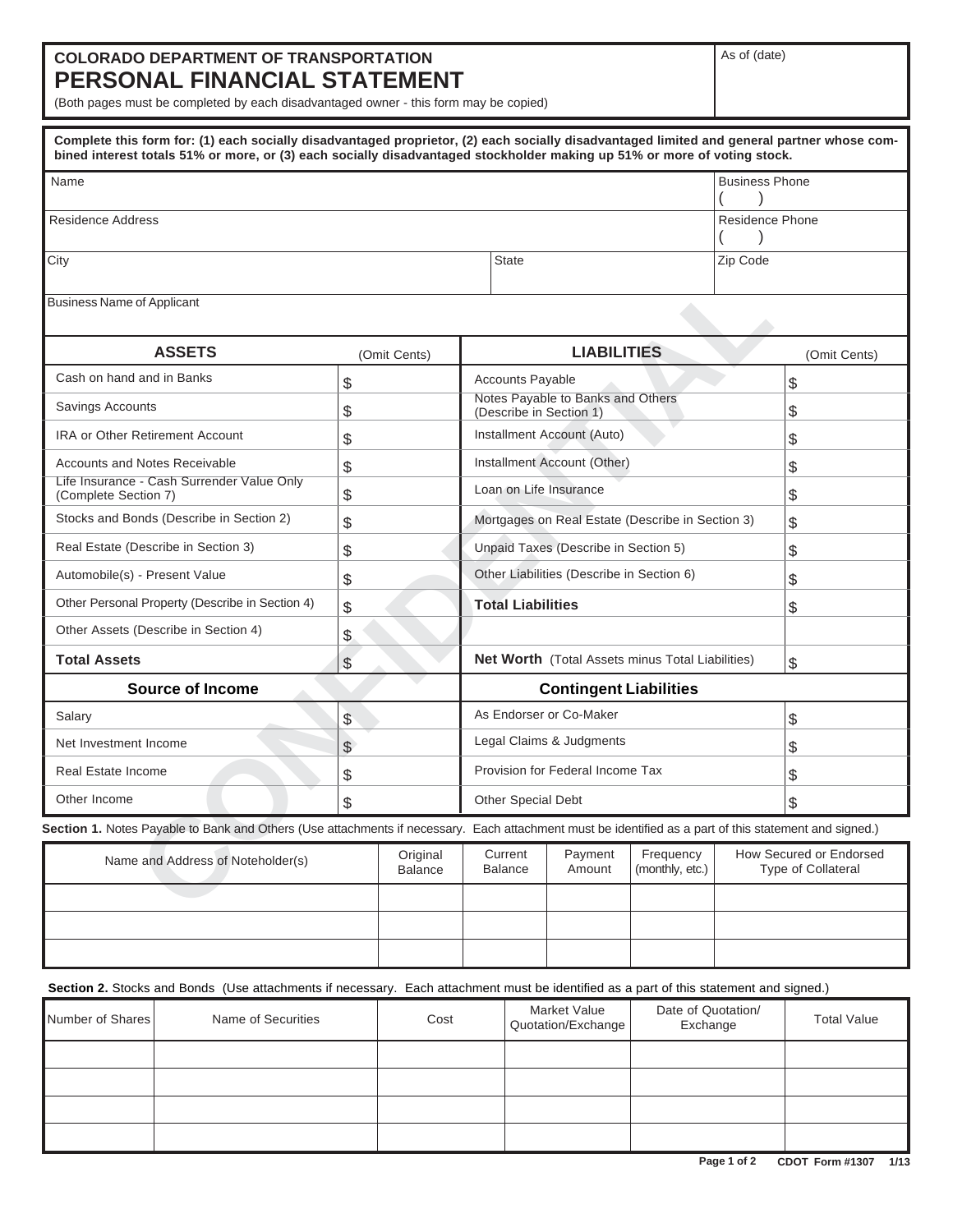# **COLORADO DEPARTMENT OF TRANSPORTATION PERSONAL FINANCIAL STATEMENT**

(Both pages must be completed by each disadvantaged owner - this form may be copied)

|                                                       | Complete this form for: (1) each socially disadvantaged proprietor, (2) each socially disadvantaged limited and general partner whose com-<br>bined interest totals 51% or more, or (3) each socially disadvantaged stockholder making up 51% or more of voting stock. |                                           |                            |                                                  |                                           |                                                              |                                                  |                       |                                               |
|-------------------------------------------------------|------------------------------------------------------------------------------------------------------------------------------------------------------------------------------------------------------------------------------------------------------------------------|-------------------------------------------|----------------------------|--------------------------------------------------|-------------------------------------------|--------------------------------------------------------------|--------------------------------------------------|-----------------------|-----------------------------------------------|
| Name                                                  |                                                                                                                                                                                                                                                                        |                                           |                            |                                                  |                                           |                                                              |                                                  | <b>Business Phone</b> |                                               |
| Residence Address                                     |                                                                                                                                                                                                                                                                        |                                           |                            |                                                  |                                           |                                                              |                                                  | Residence Phone       |                                               |
| City                                                  |                                                                                                                                                                                                                                                                        |                                           |                            |                                                  | <b>State</b>                              |                                                              |                                                  | Zip Code              |                                               |
| <b>Business Name of Applicant</b>                     |                                                                                                                                                                                                                                                                        |                                           |                            |                                                  |                                           |                                                              |                                                  |                       |                                               |
|                                                       | <b>ASSETS</b>                                                                                                                                                                                                                                                          |                                           | (Omit Cents)               |                                                  |                                           | <b>LIABILITIES</b>                                           |                                                  |                       | (Omit Cents)                                  |
| Cash on hand and in Banks                             |                                                                                                                                                                                                                                                                        | \$                                        |                            |                                                  | <b>Accounts Payable</b>                   |                                                              |                                                  |                       | \$                                            |
| Savings Accounts                                      |                                                                                                                                                                                                                                                                        | \$                                        |                            |                                                  |                                           | Notes Payable to Banks and Others<br>(Describe in Section 1) |                                                  |                       | \$                                            |
| <b>IRA or Other Retirement Account</b>                |                                                                                                                                                                                                                                                                        | \$                                        |                            |                                                  |                                           | Installment Account (Auto)                                   |                                                  |                       | \$                                            |
| <b>Accounts and Notes Receivable</b>                  |                                                                                                                                                                                                                                                                        | \$                                        |                            |                                                  |                                           | Installment Account (Other)                                  |                                                  |                       | \$                                            |
| (Complete Section 7)                                  | Life Insurance - Cash Surrender Value Only                                                                                                                                                                                                                             | \$                                        |                            |                                                  |                                           | Loan on Life Insurance                                       |                                                  |                       | \$                                            |
|                                                       | Stocks and Bonds (Describe in Section 2)                                                                                                                                                                                                                               | \$                                        |                            |                                                  |                                           |                                                              | Mortgages on Real Estate (Describe in Section 3) |                       | \$                                            |
|                                                       | Real Estate (Describe in Section 3)                                                                                                                                                                                                                                    | \$                                        |                            |                                                  | Unpaid Taxes (Describe in Section 5)      |                                                              |                                                  |                       | \$                                            |
| Automobile(s) - Present Value                         |                                                                                                                                                                                                                                                                        | \$                                        |                            |                                                  | Other Liabilities (Describe in Section 6) |                                                              |                                                  |                       | \$                                            |
| Other Personal Property (Describe in Section 4)<br>\$ |                                                                                                                                                                                                                                                                        |                                           |                            |                                                  | <b>Total Liabilities</b>                  |                                                              |                                                  |                       | \$                                            |
| Other Assets (Describe in Section 4)<br>\$            |                                                                                                                                                                                                                                                                        |                                           |                            |                                                  |                                           |                                                              |                                                  |                       |                                               |
| <b>Total Assets</b>                                   |                                                                                                                                                                                                                                                                        | \$                                        |                            | Net Worth (Total Assets minus Total Liabilities) |                                           |                                                              |                                                  | \$                    |                                               |
|                                                       | <b>Source of Income</b>                                                                                                                                                                                                                                                |                                           |                            |                                                  |                                           | <b>Contingent Liabilities</b>                                |                                                  |                       |                                               |
| Salary                                                |                                                                                                                                                                                                                                                                        | \$                                        |                            | As Endorser or Co-Maker                          |                                           |                                                              |                                                  | \$                    |                                               |
| Net Investment Income                                 |                                                                                                                                                                                                                                                                        | \$                                        |                            | Legal Claims & Judgments<br>\$                   |                                           |                                                              |                                                  |                       |                                               |
| Real Estate Income                                    |                                                                                                                                                                                                                                                                        | \$                                        |                            |                                                  |                                           | Provision for Federal Income Tax                             |                                                  |                       | \$                                            |
| Other Income                                          |                                                                                                                                                                                                                                                                        | \$                                        |                            | Other Special Debt                               |                                           |                                                              | \$                                               |                       |                                               |
|                                                       | Section 1. Notes Payable to Bank and Others (Use attachments if necessary. Each attachment must be identified as a part of this statement and signed.)                                                                                                                 |                                           |                            |                                                  |                                           |                                                              |                                                  |                       |                                               |
|                                                       | Name and Address of Noteholder(s)                                                                                                                                                                                                                                      |                                           | Original<br><b>Balance</b> |                                                  | Current<br><b>Balance</b>                 | Payment<br>Amount                                            | Frequency<br>(monthly, etc.)                     |                       | How Secured or Endorsed<br>Type of Collateral |
|                                                       |                                                                                                                                                                                                                                                                        |                                           |                            |                                                  |                                           |                                                              |                                                  |                       |                                               |
|                                                       |                                                                                                                                                                                                                                                                        |                                           |                            |                                                  |                                           |                                                              |                                                  |                       |                                               |
|                                                       |                                                                                                                                                                                                                                                                        |                                           |                            |                                                  |                                           |                                                              |                                                  |                       |                                               |
|                                                       | Section 2. Stocks and Bonds (Use attachments if necessary. Each attachment must be identified as a part of this statement and signed.)                                                                                                                                 |                                           |                            |                                                  |                                           |                                                              |                                                  |                       |                                               |
| Number of Shares<br>Name of Securities<br>Cost        |                                                                                                                                                                                                                                                                        | <b>Market Value</b><br>Quotation/Exchange |                            | Date of Quotation/<br>Exchange                   |                                           | <b>Total Value</b>                                           |                                                  |                       |                                               |
|                                                       |                                                                                                                                                                                                                                                                        |                                           |                            |                                                  |                                           |                                                              |                                                  |                       |                                               |
|                                                       |                                                                                                                                                                                                                                                                        |                                           |                            |                                                  |                                           |                                                              |                                                  |                       |                                               |
|                                                       |                                                                                                                                                                                                                                                                        |                                           |                            |                                                  |                                           |                                                              |                                                  |                       |                                               |